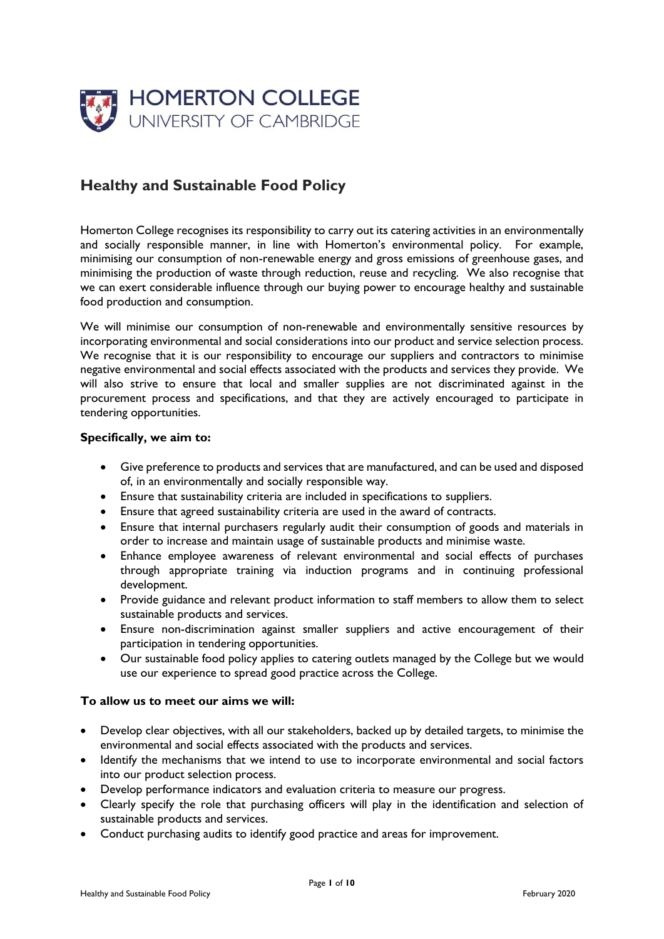

# **Healthy and Sustainable Food Policy**

Homerton College recognises its responsibility to carry out its catering activities in an environmentally and socially responsible manner, in line with Homerton's environmental policy. For example, minimising our consumption of non-renewable energy and gross emissions of greenhouse gases, and minimising the production of waste through reduction, reuse and recycling. We also recognise that we can exert considerable influence through our buying power to encourage healthy and sustainable food production and consumption.

We will minimise our consumption of non-renewable and environmentally sensitive resources by incorporating environmental and social considerations into our product and service selection process. We recognise that it is our responsibility to encourage our suppliers and contractors to minimise negative environmental and social effects associated with the products and services they provide. We will also strive to ensure that local and smaller supplies are not discriminated against in the procurement process and specifications, and that they are actively encouraged to participate in tendering opportunities.

#### **Specifically, we aim to:**

- Give preference to products and services that are manufactured, and can be used and disposed of, in an environmentally and socially responsible way.
- Ensure that sustainability criteria are included in specifications to suppliers.
- Ensure that agreed sustainability criteria are used in the award of contracts.
- Ensure that internal purchasers regularly audit their consumption of goods and materials in order to increase and maintain usage of sustainable products and minimise waste.
- Enhance employee awareness of relevant environmental and social effects of purchases through appropriate training via induction programs and in continuing professional development.
- Provide guidance and relevant product information to staff members to allow them to select sustainable products and services.
- Ensure non-discrimination against smaller suppliers and active encouragement of their participation in tendering opportunities.
- Our sustainable food policy applies to catering outlets managed by the College but we would use our experience to spread good practice across the College.

#### **To allow us to meet our aims we will:**

- Develop clear objectives, with all our stakeholders, backed up by detailed targets, to minimise the environmental and social effects associated with the products and services.
- Identify the mechanisms that we intend to use to incorporate environmental and social factors into our product selection process.
- Develop performance indicators and evaluation criteria to measure our progress.
- Clearly specify the role that purchasing officers will play in the identification and selection of sustainable products and services.
- Conduct purchasing audits to identify good practice and areas for improvement.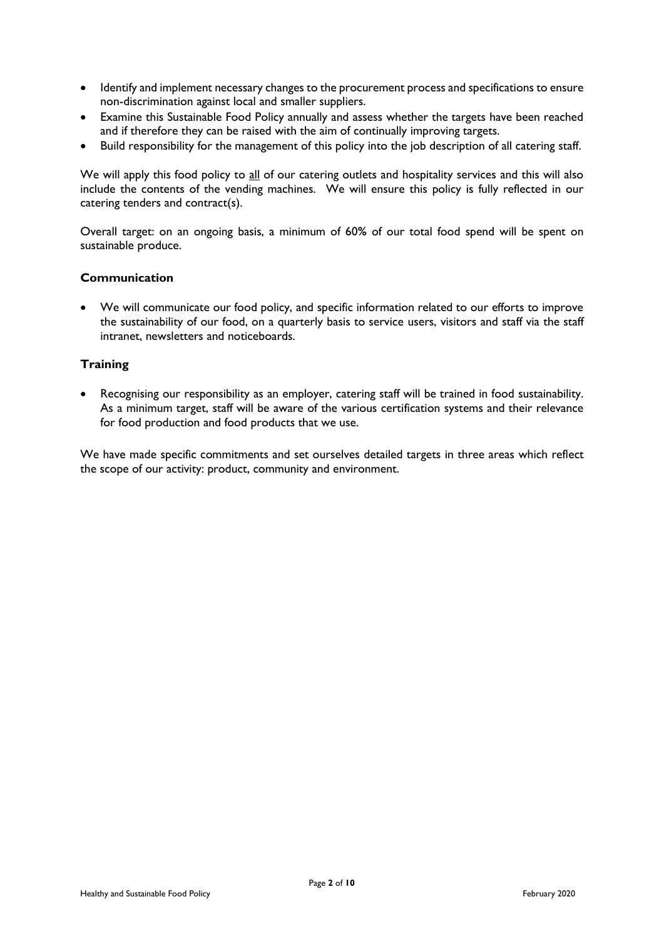- Identify and implement necessary changes to the procurement process and specifications to ensure non-discrimination against local and smaller suppliers.
- Examine this Sustainable Food Policy annually and assess whether the targets have been reached and if therefore they can be raised with the aim of continually improving targets.
- Build responsibility for the management of this policy into the job description of all catering staff.

We will apply this food policy to all of our catering outlets and hospitality services and this will also include the contents of the vending machines. We will ensure this policy is fully reflected in our catering tenders and contract(s).

Overall target: on an ongoing basis, a minimum of 60**%** of our total food spend will be spent on sustainable produce.

#### **Communication**

 We will communicate our food policy, and specific information related to our efforts to improve the sustainability of our food, on a quarterly basis to service users, visitors and staff via the staff intranet, newsletters and noticeboards.

#### **Training**

 Recognising our responsibility as an employer, catering staff will be trained in food sustainability. As a minimum target, staff will be aware of the various certification systems and their relevance for food production and food products that we use.

We have made specific commitments and set ourselves detailed targets in three areas which reflect the scope of our activity: product, community and environment.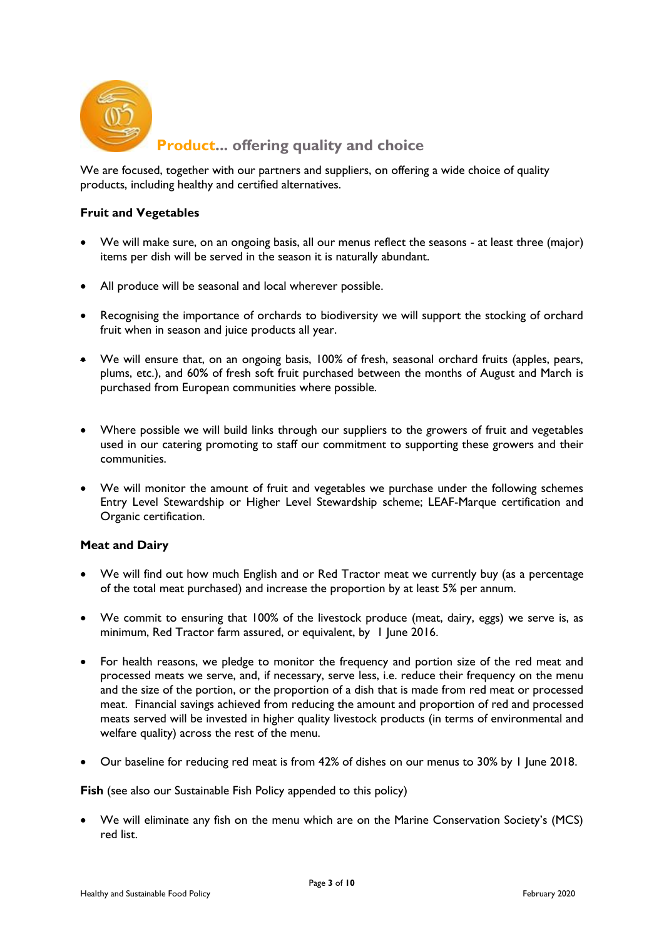

**Produc[t... offering quality and choice](http://www.selecta.co.uk/product.html)**

We are focused, together with our partners and suppliers, on offering a wide choice of quality products, including healthy and certified alternatives.

## **Fruit and Vegetables**

- We will make sure, on an ongoing basis, all our menus reflect the seasons at least three (major) items per dish will be served in the season it is naturally abundant.
- All produce will be seasonal and local wherever possible.
- Recognising the importance of orchards to biodiversity we will support the stocking of orchard fruit when in season and juice products all year.
- We will ensure that, on an ongoing basis, 100% of fresh, seasonal orchard fruits (apples, pears, plums, etc.), and 60**%** of fresh soft fruit purchased between the months of August and March is purchased from European communities where possible.
- Where possible we will build links through our suppliers to the growers of fruit and vegetables used in our catering promoting to staff our commitment to supporting these growers and their communities.
- We will monitor the amount of fruit and vegetables we purchase under the following schemes Entry Level Stewardship or Higher Level Stewardship scheme; LEAF-Marque certification and Organic certification.

## **Meat and Dairy**

- We will find out how much English and or Red Tractor meat we currently buy (as a percentage of the total meat purchased) and increase the proportion by at least 5% per annum.
- We commit to ensuring that 100% of the livestock produce (meat, dairy, eggs) we serve is, as minimum, Red Tractor farm assured, or equivalent, by 1 June 2016.
- For health reasons, we pledge to monitor the frequency and portion size of the red meat and processed meats we serve, and, if necessary, serve less, i.e. reduce their frequency on the menu and the size of the portion, or the proportion of a dish that is made from red meat or processed meat. Financial savings achieved from reducing the amount and proportion of red and processed meats served will be invested in higher quality livestock products (in terms of environmental and welfare quality) across the rest of the menu.
- Our baseline for reducing red meat is from 42% of dishes on our menus to 30% by 1 June 2018.

**Fish** (see also our Sustainable Fish Policy appended to this policy)

 We will eliminate any fish on the menu which are on the Marine Conservation Society's (MCS) red list.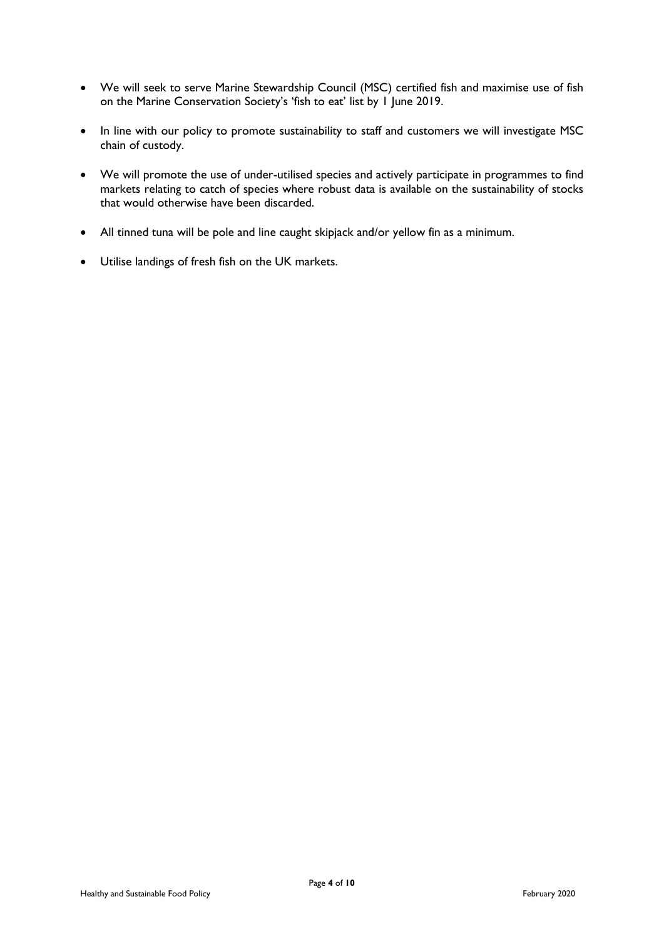- We will seek to serve Marine Stewardship Council (MSC) certified fish and maximise use of fish on the Marine Conservation Society's 'fish to eat' list by 1 June 2019.
- In line with our policy to promote sustainability to staff and customers we will investigate MSC chain of custody.
- We will promote the use of under-utilised species and actively participate in programmes to find markets relating to catch of species where robust data is available on the sustainability of stocks that would otherwise have been discarded.
- All tinned tuna will be pole and line caught skipjack and/or yellow fin as a minimum.
- Utilise landings of fresh fish on the UK markets.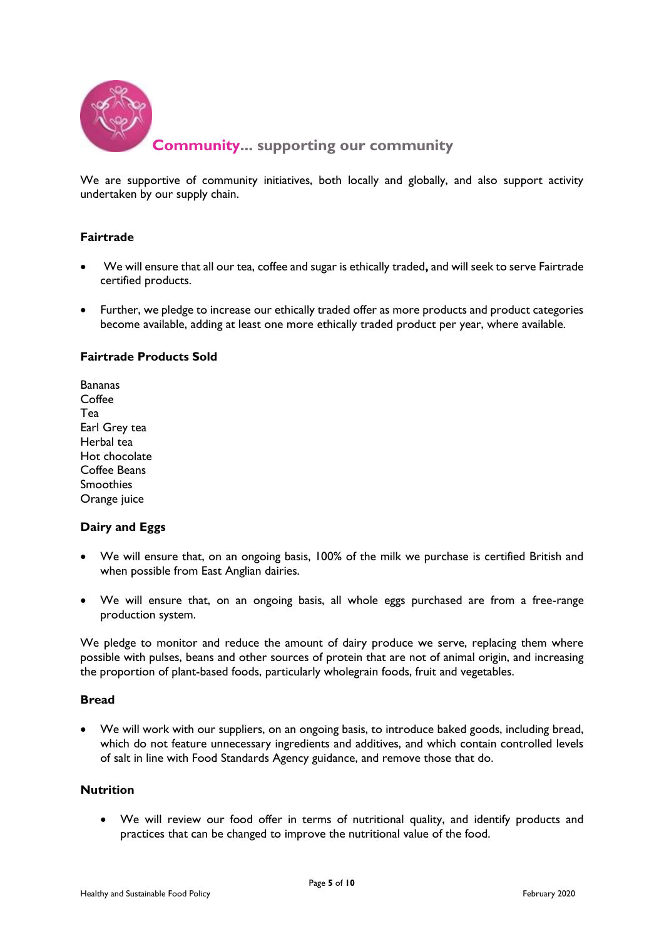

We are supportive of community initiatives, both locally and globally, and also support activity undertaken by our supply chain.

## **Fairtrade**

- We will ensure that all our tea, coffee and sugar is ethically traded**,** and will seek to serve Fairtrade certified products.
- Further, we pledge to increase our ethically traded offer as more products and product categories become available, adding at least one more ethically traded product per year, where available.

## **Fairtrade Products Sold**

Bananas Coffee Tea Earl Grey tea Herbal tea Hot chocolate Coffee Beans Smoothies Orange juice

#### **Dairy and Eggs**

- We will ensure that, on an ongoing basis, 100% of the milk we purchase is certified British and when possible from East Anglian dairies.
- We will ensure that, on an ongoing basis, all whole eggs purchased are from a free-range production system.

We pledge to monitor and reduce the amount of dairy produce we serve, replacing them where possible with pulses, beans and other sources of protein that are not of animal origin, and increasing the proportion of plant-based foods, particularly wholegrain foods, fruit and vegetables.

#### **Bread**

 We will work with our suppliers, on an ongoing basis, to introduce baked goods, including bread, which do not feature unnecessary ingredients and additives, and which contain controlled levels of salt in line with Food Standards Agency guidance, and remove those that do.

## **Nutrition**

 We will review our food offer in terms of nutritional quality, and identify products and practices that can be changed to improve the nutritional value of the food.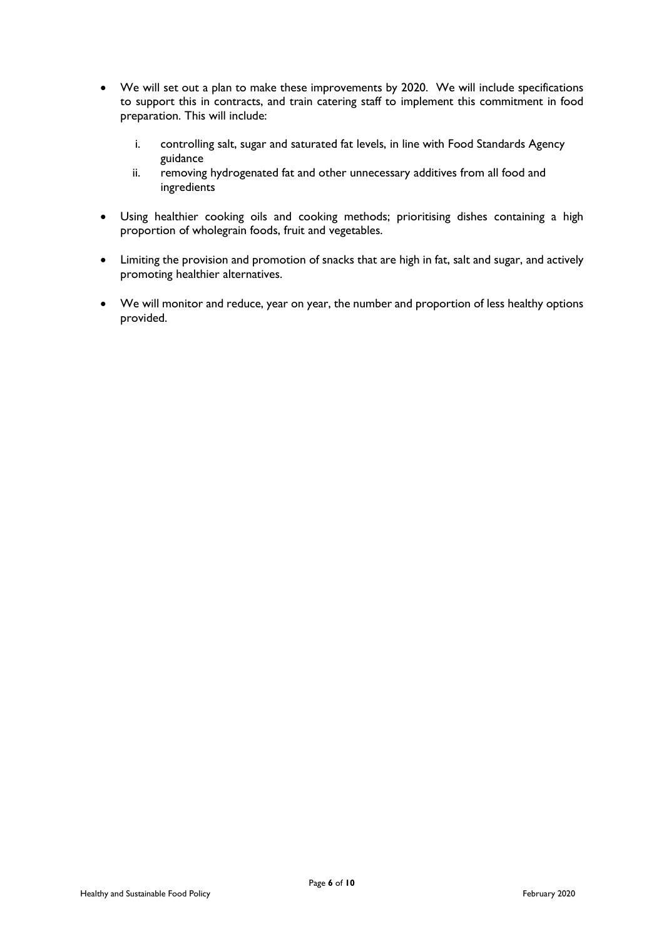- We will set out a plan to make these improvements by 2020. We will include specifications to support this in contracts, and train catering staff to implement this commitment in food preparation. This will include:
	- i. controlling salt, sugar and saturated fat levels, in line with Food Standards Agency guidance
	- ii. removing hydrogenated fat and other unnecessary additives from all food and ingredients
- Using healthier cooking oils and cooking methods; prioritising dishes containing a high proportion of wholegrain foods, fruit and vegetables.
- Limiting the provision and promotion of snacks that are high in fat, salt and sugar, and actively promoting healthier alternatives.
- We will monitor and reduce, year on year, the number and proportion of less healthy options provided.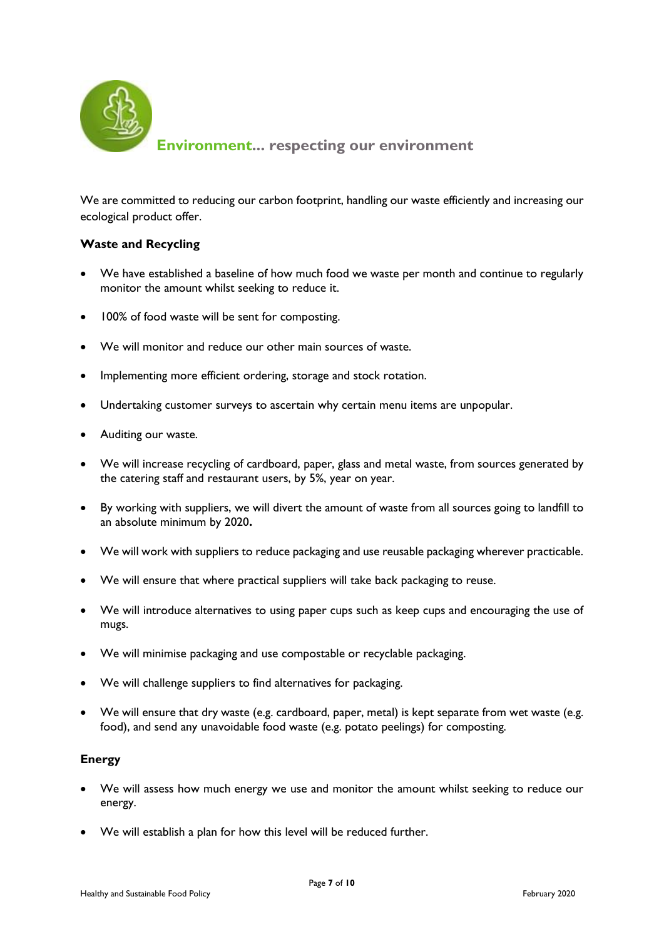

We are committed to reducing our carbon footprint, handling our waste efficiently and increasing our ecological product offer.

## **Waste and Recycling**

- We have established a baseline of how much food we waste per month and continue to regularly monitor the amount whilst seeking to reduce it.
- 100% of food waste will be sent for composting.
- We will monitor and reduce our other main sources of waste.
- Implementing more efficient ordering, storage and stock rotation.
- Undertaking customer surveys to ascertain why certain menu items are unpopular.
- Auditing our waste.
- We will increase recycling of cardboard, paper, glass and metal waste, from sources generated by the catering staff and restaurant users, by 5%, year on year.
- By working with suppliers, we will divert the amount of waste from all sources going to landfill to an absolute minimum by 2020**.**
- We will work with suppliers to reduce packaging and use reusable packaging wherever practicable.
- We will ensure that where practical suppliers will take back packaging to reuse.
- We will introduce alternatives to using paper cups such as keep cups and encouraging the use of mugs.
- We will minimise packaging and use compostable or recyclable packaging.
- We will challenge suppliers to find alternatives for packaging.
- We will ensure that dry waste (e.g. cardboard, paper, metal) is kept separate from wet waste (e.g. food), and send any unavoidable food waste (e.g. potato peelings) for composting.

#### **Energy**

- We will assess how much energy we use and monitor the amount whilst seeking to reduce our energy.
- We will establish a plan for how this level will be reduced further.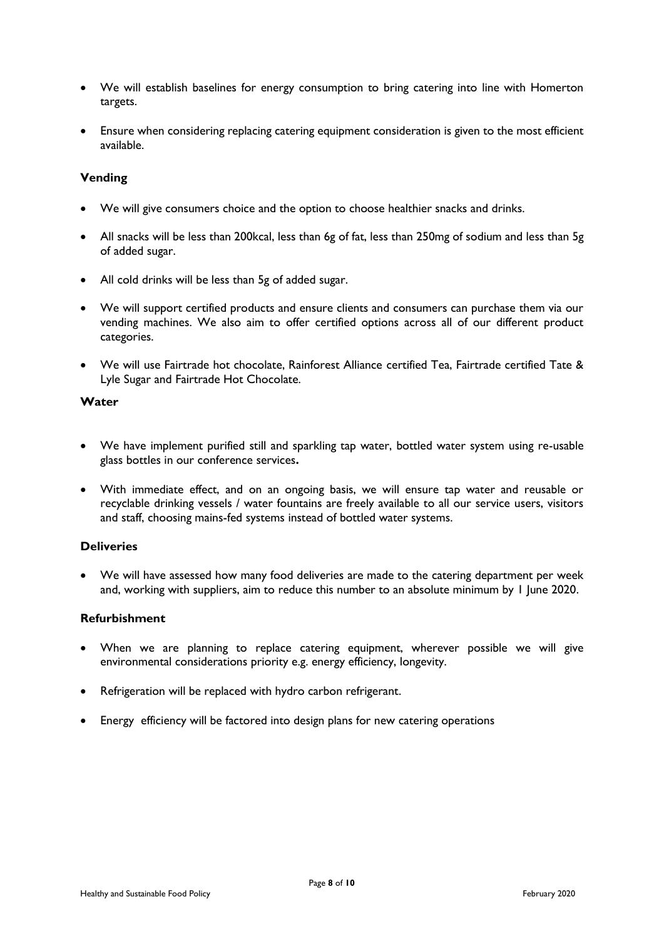- We will establish baselines for energy consumption to bring catering into line with Homerton targets.
- Ensure when considering replacing catering equipment consideration is given to the most efficient available.

#### **Vending**

- We will give consumers choice and the option to choose healthier snacks and drinks.
- All snacks will be less than 200kcal, less than 6g of fat, less than 250mg of sodium and less than 5g of added sugar.
- All cold drinks will be less than 5g of added sugar.
- We will support certified products and ensure clients and consumers can purchase them via our vending machines. We also aim to offer certified options across all of our different product categories.
- We will use Fairtrade hot chocolate, Rainforest Alliance certified Tea, Fairtrade certified Tate & Lyle Sugar and Fairtrade Hot Chocolate.

#### **Water**

- We have implement purified still and sparkling tap water, bottled water system using re-usable glass bottles in our conference services**.**
- With immediate effect, and on an ongoing basis, we will ensure tap water and reusable or recyclable drinking vessels / water fountains are freely available to all our service users, visitors and staff, choosing mains-fed systems instead of bottled water systems.

#### **Deliveries**

 We will have assessed how many food deliveries are made to the catering department per week and, working with suppliers, aim to reduce this number to an absolute minimum by 1 June 2020.

#### **Refurbishment**

- When we are planning to replace catering equipment, wherever possible we will give environmental considerations priority e.g. energy efficiency, longevity.
- Refrigeration will be replaced with hydro carbon refrigerant.
- Energy efficiency will be factored into design plans for new catering operations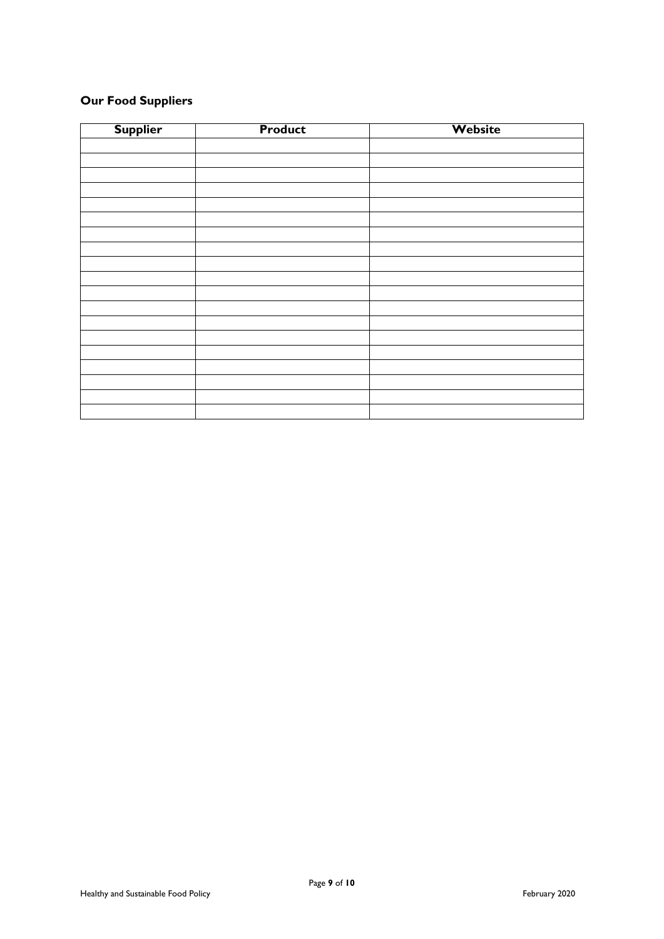## **Our Food Suppliers**

| <b>Supplier</b> | <b>Product</b> | Website |
|-----------------|----------------|---------|
|                 |                |         |
|                 |                |         |
|                 |                |         |
|                 |                |         |
|                 |                |         |
|                 |                |         |
|                 |                |         |
|                 |                |         |
|                 |                |         |
|                 |                |         |
|                 |                |         |
|                 |                |         |
|                 |                |         |
|                 |                |         |
|                 |                |         |
|                 |                |         |
|                 |                |         |
|                 |                |         |
|                 |                |         |